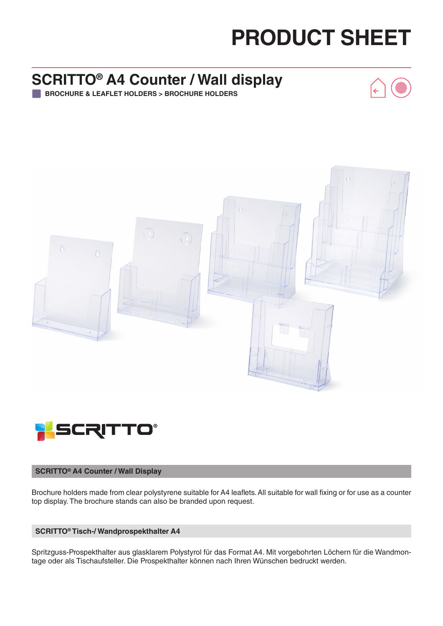## **PRODUCT SHEET**

### **SCRITTO® A4 Counter / Wall display**

**BROCHURE & LEAFLET HOLDERS > BROCHURE HOLDERS**





#### **SCRITTO® A4 Counter / Wall Display**

Brochure holders made from clear polystyrene suitable for A4 leaflets. All suitable for wall fixing or for use as a counter top display. The brochure stands can also be branded upon request.

#### **SCRITTO® Tisch-/ Wandprospekthalter A4**

Spritzguss-Prospekthalter aus glasklarem Polystyrol für das Format A4. Mit vorgebohrten Löchern für die Wandmontage oder als Tischaufsteller. Die Prospekthalter können nach Ihren Wünschen bedruckt werden.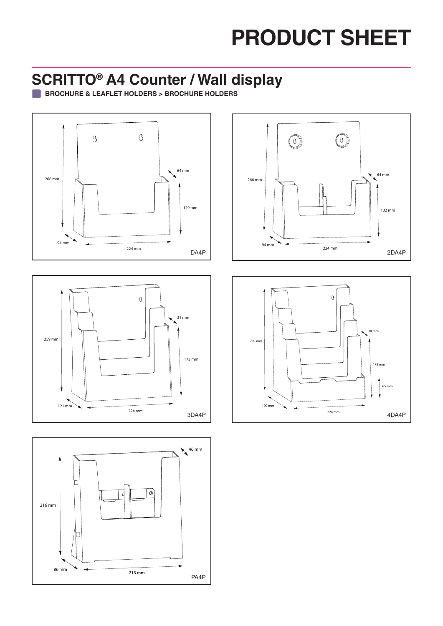# **PRODUCT SHEET**

#### **SCRITTO® A4 Counter / Wall display**

**BROCHURE & LEAFLET HOLDERS > BROCHURE HOLDERS**